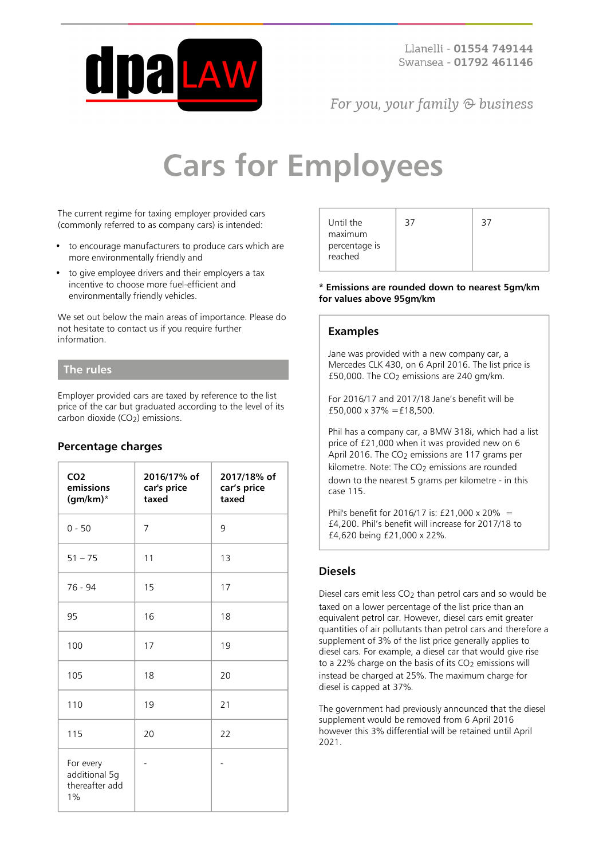

For you, your family  $\odot$  business

# **Cars for Employees**

The current regime for taxing employer provided cars (commonly referred to as company cars) is intended:

- to encourage manufacturers to produce cars which are more environmentally friendly and
- to give employee drivers and their employers a tax incentive to choose more fuel-efficient and environmentally friendly vehicles.

We set out below the main areas of importance. Please do not hesitate to contact us if you require further information.

#### **The rules**

Employer provided cars are taxed by reference to the list price of the car but graduated according to the level of its carbon dioxide (CO<sub>2</sub>) emissions.

### **Percentage charges**

| CO <sub>2</sub><br>emissions<br>$(gm/km)^*$           | 2016/17% of<br>car's price<br>taxed | 2017/18% of<br>car's price<br>taxed |
|-------------------------------------------------------|-------------------------------------|-------------------------------------|
| $0 - 50$                                              | $\overline{7}$                      | 9                                   |
| $51 - 75$                                             | 11                                  | 13                                  |
| 76 - 94                                               | 15                                  | 17                                  |
| 95                                                    | 16                                  | 18                                  |
| 100                                                   | 17                                  | 19                                  |
| 105                                                   | 18                                  | 20                                  |
| 110                                                   | 19                                  | 21                                  |
| 115                                                   | 20                                  | 22                                  |
| For every<br>additional 5g<br>thereafter add<br>$1\%$ | $\overline{\phantom{0}}$            |                                     |

| Until the                           | 37 | 37 |
|-------------------------------------|----|----|
| maximum<br>percentage is<br>reached |    |    |
|                                     |    |    |

#### **\* Emissions are rounded down to nearest 5gm/km for values above 95gm/km**

### **Examples**

Jane was provided with a new company car, a Mercedes CLK 430, on 6 April 2016. The list price is £50,000. The  $CO<sub>2</sub>$  emissions are 240 gm/km.

For 2016/17 and 2017/18 Jane's benefit will be £50,000 x 37% = £18,500.

Phil has a company car, a BMW 318i, which had a list price of £21,000 when it was provided new on 6 April 2016. The CO<sub>2</sub> emissions are 117 grams per kilometre. Note: The  $CO<sub>2</sub>$  emissions are rounded down to the nearest 5 grams per kilometre - in this case 115.

Phil's benefit for 2016/17 is: £21,000 x 20% = £4,200. Phil's benefit will increase for 2017/18 to £4,620 being £21,000 x 22%.

### **Diesels**

Diesel cars emit less CO2 than petrol cars and so would be taxed on a lower percentage of the list price than an equivalent petrol car. However, diesel cars emit greater quantities of air pollutants than petrol cars and therefore a supplement of 3% of the list price generally applies to diesel cars. For example, a diesel car that would give rise to a 22% charge on the basis of its CO<sub>2</sub> emissions will instead be charged at 25%. The maximum charge for diesel is capped at 37%.

The government had previously announced that the diesel supplement would be removed from 6 April 2016 however this 3% differential will be retained until April 2021.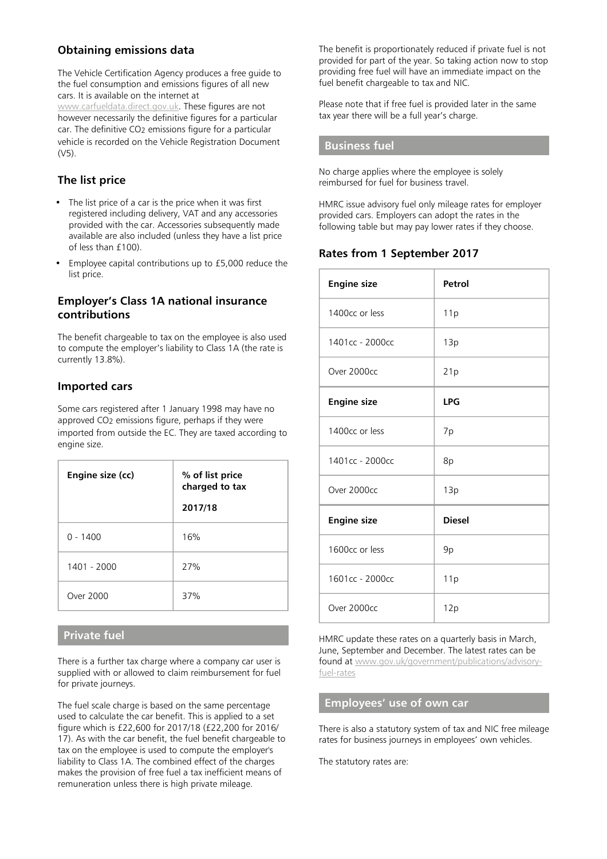## **Obtaining emissions data**

The Vehicle Certification Agency produces a free guide to the fuel consumption and emissions figures of all new cars. It is available on the internet at [www.carfueldata.direct.gov.uk](http://carfueldata.direct.gov.uk/). These figures are not however necessarily the definitive figures for a particular car. The definitive CO<sub>2</sub> emissions figure for a particular vehicle is recorded on the Vehicle Registration Document  $(V5)$ .

## **The list price**

- The list price of a car is the price when it was first registered including delivery, VAT and any accessories provided with the car. Accessories subsequently made available are also included (unless they have a list price of less than £100).
- Employee capital contributions up to £5,000 reduce the list price.

#### **Employer's Class 1A national insurance contributions**

The benefit chargeable to tax on the employee is also used to compute the employer's liability to Class 1A (the rate is currently 13.8%).

#### **Imported cars**

Some cars registered after 1 January 1998 may have no approved CO2 emissions figure, perhaps if they were imported from outside the EC. They are taxed according to engine size.

| Engine size (cc) | % of list price<br>charged to tax |
|------------------|-----------------------------------|
|                  | 2017/18                           |
| $0 - 1400$       | 16%                               |
| 1401 - 2000      | 77%                               |
| Over 2000        | 37%                               |

#### **Private fuel**

There is a further tax charge where a company car user is supplied with or allowed to claim reimbursement for fuel for private journeys.

The fuel scale charge is based on the same percentage used to calculate the car benefit. This is applied to a set figure which is £22,600 for 2017/18 (£22,200 for 2016/ 17). As with the car benefit, the fuel benefit chargeable to tax on the employee is used to compute the employer's liability to Class 1A. The combined effect of the charges makes the provision of free fuel a tax inefficient means of remuneration unless there is high private mileage.

The benefit is proportionately reduced if private fuel is not provided for part of the year. So taking action now to stop providing free fuel will have an immediate impact on the fuel benefit chargeable to tax and NIC.

Please note that if free fuel is provided later in the same tax year there will be a full year's charge.

#### **Business fuel**

No charge applies where the employee is solely reimbursed for fuel for business travel.

HMRC issue advisory fuel only mileage rates for employer provided cars. Employers can adopt the rates in the following table but may pay lower rates if they choose.

## **Rates from 1 September 2017**

| <b>Engine size</b> | Petrol        |
|--------------------|---------------|
| 1400cc or less     | 11p           |
| 1401cc - 2000cc    | 13p           |
| Over 2000cc        | 21p           |
| <b>Engine size</b> | <b>LPG</b>    |
| 1400cc or less     | 7p            |
| 1401cc - 2000cc    | 8p            |
| Over 2000cc        | 13p           |
| <b>Engine size</b> | <b>Diesel</b> |
| 1600cc or less     | 9p            |
| 1601cc - 2000cc    | 11p           |
| Over 2000cc        | 12p           |

HMRC update these rates on a quarterly basis in March, June, September and December. The latest rates can be found at [www.gov.uk/government/publications/advisory](https://www.gov.uk/government/publications/advisory-fuel-rates)[fuel-rates](https://www.gov.uk/government/publications/advisory-fuel-rates)

#### **Employees' use of own car**

There is also a statutory system of tax and NIC free mileage rates for business journeys in employees' own vehicles.

The statutory rates are: